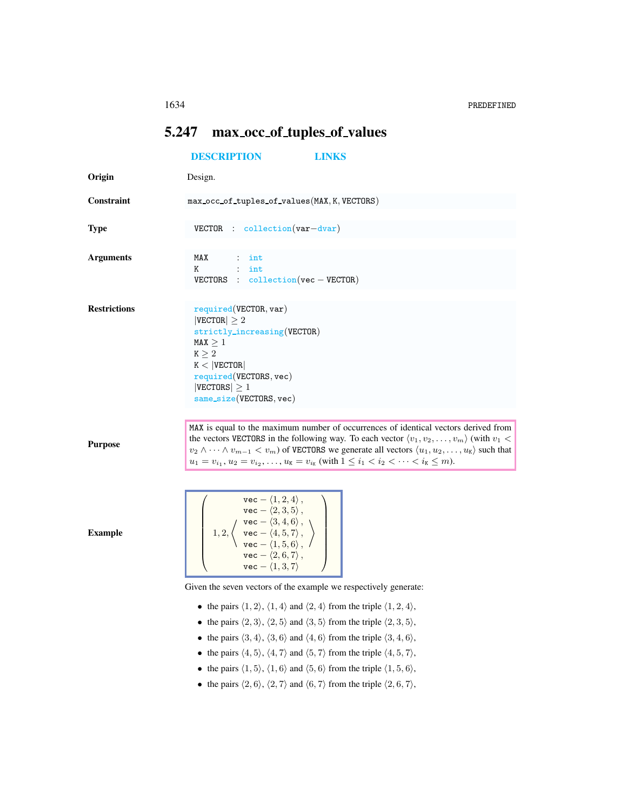## <span id="page-0-0"></span>5.247 max occ of tuples of values

|                     | <b>DESCRIPTION</b><br><b>LINKS</b>                                                                                                                                                                                                                                                                                                                                                                                                                                                            |  |  |
|---------------------|-----------------------------------------------------------------------------------------------------------------------------------------------------------------------------------------------------------------------------------------------------------------------------------------------------------------------------------------------------------------------------------------------------------------------------------------------------------------------------------------------|--|--|
| Origin              | Design.                                                                                                                                                                                                                                                                                                                                                                                                                                                                                       |  |  |
| Constraint          | max_occ_of_tuples_of_values(MAX, K, VECTORS)                                                                                                                                                                                                                                                                                                                                                                                                                                                  |  |  |
| <b>Type</b>         | $VECTOR$ : collection $(var-dvar)$                                                                                                                                                                                                                                                                                                                                                                                                                                                            |  |  |
| <b>Arguments</b>    | MAX<br>$:$ int<br>$:$ int<br>K<br>VECTORS : $\text{collection}(\text{vec}-\text{VECTOR})$                                                                                                                                                                                                                                                                                                                                                                                                     |  |  |
| <b>Restrictions</b> | required(VECTOR, var)<br>$ {\tt VECTOR}  \geq 2$<br>strictly_increasing(VECTOR)<br>MAX > 1<br>$\texttt{K}\geq2$<br>$K <  $ VECTOR<br>required(VECTORS, vec)<br>$ {\rm VECTORS}  \geq 1$<br>$same\_size(VECTORS, vec)$                                                                                                                                                                                                                                                                         |  |  |
| <b>Purpose</b>      | MAX is equal to the maximum number of occurrences of identical vectors derived from<br>the vectors VECTORS in the following way. To each vector $\langle v_1, v_2, \dots, v_m \rangle$ (with $v_1$ <<br>$v_2 \wedge \cdots \wedge v_{m-1} < v_m$ of VECTORS we generate all vectors $\langle u_1, u_2, \ldots, u_{\mathcal{K}} \rangle$ such that<br>$u_1 = v_{i_1}, u_2 = v_{i_2}, \ldots, u_{\mathsf{K}} = v_{i_{\mathsf{K}}}$ (with $1 \leq i_1 < i_2 < \cdots < i_{\mathsf{K}} \leq m$ ). |  |  |
| <b>Example</b>      | $\texttt{vec} - \langle 1, 2, 4 \rangle$ ,<br>vec - $\langle 2, 3, 5, 7 \rangle$ ,<br>1, 2, $\left\langle \begin{array}{c} \text{vec} - \langle 3, 4, 6 \rangle \\ \text{vec} - \langle 4, 5, 7 \rangle, \\ \text{vec} - \langle 1, 5, 6 \rangle, \\ \langle 9, 6, 7 \rangle, \end{array} \right\rangle$<br>$\text{vec} - \langle 1, 3, 7 \rangle$                                                                                                                                            |  |  |
|                     | Given the seven vectors of the example we respectively generate:                                                                                                                                                                                                                                                                                                                                                                                                                              |  |  |
|                     | • the pairs $\langle 1, 2 \rangle$ , $\langle 1, 4 \rangle$ and $\langle 2, 4 \rangle$ from the triple $\langle 1, 2, 4 \rangle$ ,                                                                                                                                                                                                                                                                                                                                                            |  |  |
|                     | • the pairs $\langle 3, 4 \rangle$ , $\langle 3, 6 \rangle$ and $\langle 4, 6 \rangle$ from the triple $\langle 3, 4, 6 \rangle$ ,                                                                                                                                                                                                                                                                                                                                                            |  |  |
|                     |                                                                                                                                                                                                                                                                                                                                                                                                                                                                                               |  |  |
|                     | • the pairs $\langle 2, 3 \rangle$ , $\langle 2, 5 \rangle$ and $\langle 3, 5 \rangle$ from the triple $\langle 2, 3, 5 \rangle$ ,<br>• the pairs $\langle 4, 5 \rangle$ , $\langle 4, 7 \rangle$ and $\langle 5, 7 \rangle$ from the triple $\langle 4, 5, 7 \rangle$ ,                                                                                                                                                                                                                      |  |  |

- the pairs  $\langle 1, 5 \rangle$ ,  $\langle 1, 6 \rangle$  and  $\langle 5, 6 \rangle$  from the triple  $\langle 1, 5, 6 \rangle$ ,
- the pairs  $\langle 2, 6 \rangle$ ,  $\langle 2, 7 \rangle$  and  $\langle 6, 7 \rangle$  from the triple  $\langle 2, 6, 7 \rangle$ ,